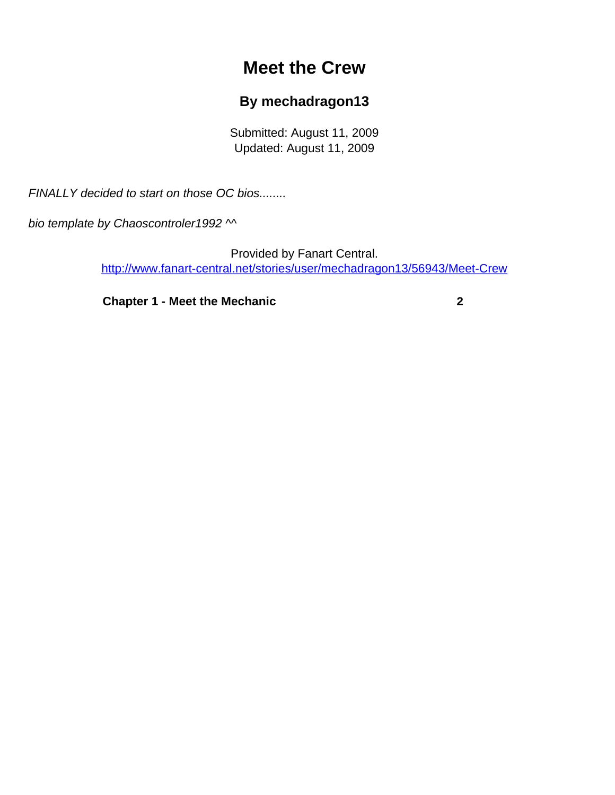# **Meet the Crew**

## **By mechadragon13**

Submitted: August 11, 2009 Updated: August 11, 2009

<span id="page-0-0"></span>FINALLY decided to start on those OC bios........

bio template by Chaoscontroler1992 ^^

Provided by Fanart Central. [http://www.fanart-central.net/stories/user/mechadragon13/56943/Meet-Crew](#page-0-0)

**[Chapter 1 - Meet the Mechanic](#page-1-0) [2](#page-1-0)**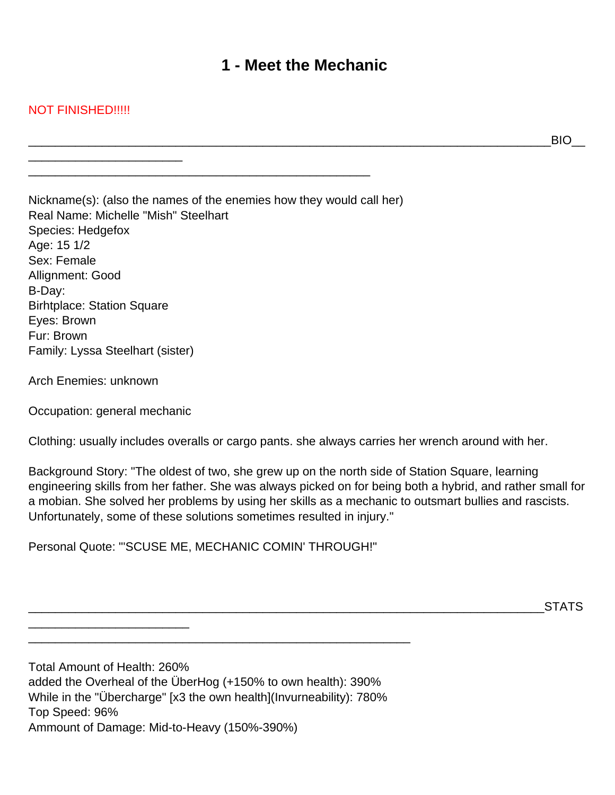# **1 - Meet the Mechanic**

### <span id="page-1-0"></span>NOT FINISHED!!!!!

\_\_\_\_\_\_\_\_\_\_\_\_\_\_\_\_\_\_\_\_\_\_\_

\_\_\_\_\_\_\_\_\_\_\_\_\_\_\_\_\_\_\_\_\_\_\_\_\_\_\_\_\_\_\_\_\_\_\_\_\_\_\_\_\_\_\_\_\_\_\_\_\_\_\_\_\_\_\_\_\_\_\_\_\_\_\_\_\_\_\_\_\_\_\_\_\_\_\_\_\_\_BIO\_\_

Nickname(s): (also the names of the enemies how they would call her) Real Name: Michelle "Mish" Steelhart Species: Hedgefox Age: 15 1/2 Sex: Female Allignment: Good B-Day: Birhtplace: Station Square Eyes: Brown Fur: Brown Family: Lyssa Steelhart (sister)

Arch Enemies: unknown

Occupation: general mechanic

\_\_\_\_\_\_\_\_\_\_\_\_\_\_\_\_\_\_\_\_\_\_\_\_

Clothing: usually includes overalls or cargo pants. she always carries her wrench around with her.

Background Story: "The oldest of two, she grew up on the north side of Station Square, learning engineering skills from her father. She was always picked on for being both a hybrid, and rather small for a mobian. She solved her problems by using her skills as a mechanic to outsmart bullies and rascists. Unfortunately, some of these solutions sometimes resulted in injury."

Personal Quote: "'SCUSE ME, MECHANIC COMIN' THROUGH!"

\_\_\_\_\_\_\_\_\_\_\_\_\_\_\_\_\_\_\_\_\_\_\_\_\_\_\_\_\_\_\_\_\_\_\_\_\_\_\_\_\_\_\_\_\_\_\_\_\_\_\_\_\_\_\_\_\_\_\_\_\_\_\_\_\_\_\_\_\_\_\_\_\_\_\_\_\_STATS

Total Amount of Health: 260% added the Overheal of the ÜberHog (+150% to own health): 390% While in the "Übercharge" [x3 the own health](Invurneability): 780% Top Speed: 96% Ammount of Damage: Mid-to-Heavy (150%-390%)

\_\_\_\_\_\_\_\_\_\_\_\_\_\_\_\_\_\_\_\_\_\_\_\_\_\_\_\_\_\_\_\_\_\_\_\_\_\_\_\_\_\_\_\_\_\_\_\_\_\_\_\_\_\_\_\_\_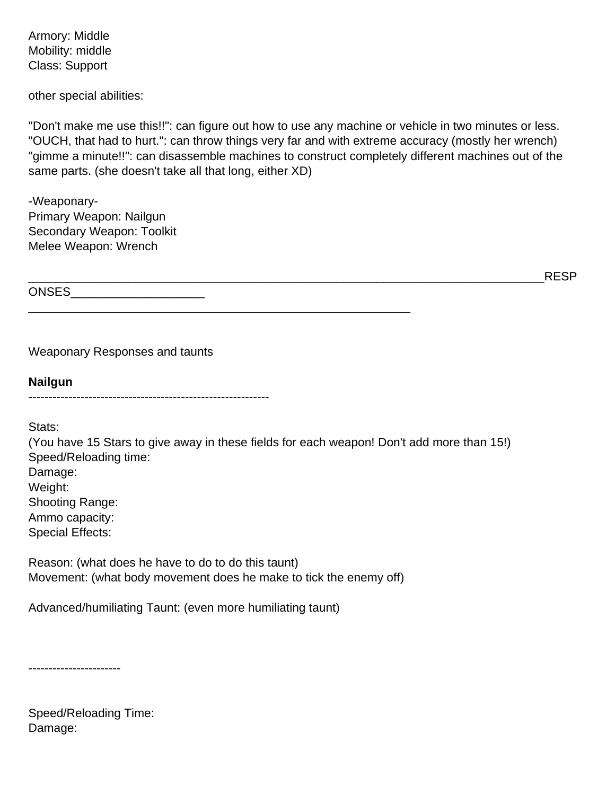Armory: Middle Mobility: middle Class: Support

other special abilities:

"Don't make me use this!!": can figure out how to use any machine or vehicle in two minutes or less. "OUCH, that had to hurt.": can throw things very far and with extreme accuracy (mostly her wrench) "gimme a minute!!": can disassemble machines to construct completely different machines out of the same parts. (she doesn't take all that long, either XD)

\_\_\_\_\_\_\_\_\_\_\_\_\_\_\_\_\_\_\_\_\_\_\_\_\_\_\_\_\_\_\_\_\_\_\_\_\_\_\_\_\_\_\_\_\_\_\_\_\_\_\_\_\_\_\_\_\_\_\_\_\_\_\_\_\_\_\_\_\_\_\_\_\_\_\_\_\_RESP

-Weaponary-Primary Weapon: Nailgun Secondary Weapon: Toolkit Melee Weapon: Wrench

ONSES\_\_\_\_\_\_\_\_\_\_\_\_\_\_\_\_\_\_\_\_

Weaponary Responses and taunts

**Nailgun** ------------------------------------------------------------

Stats:

(You have 15 Stars to give away in these fields for each weapon! Don't add more than 15!) Speed/Reloading time: Damage: Weight: Shooting Range: Ammo capacity: Special Effects:

Reason: (what does he have to do to do this taunt) Movement: (what body movement does he make to tick the enemy off)

\_\_\_\_\_\_\_\_\_\_\_\_\_\_\_\_\_\_\_\_\_\_\_\_\_\_\_\_\_\_\_\_\_\_\_\_\_\_\_\_\_\_\_\_\_\_\_\_\_\_\_\_\_\_\_\_\_

Advanced/humiliating Taunt: (even more humiliating taunt)

-----------------------

Speed/Reloading Time: Damage: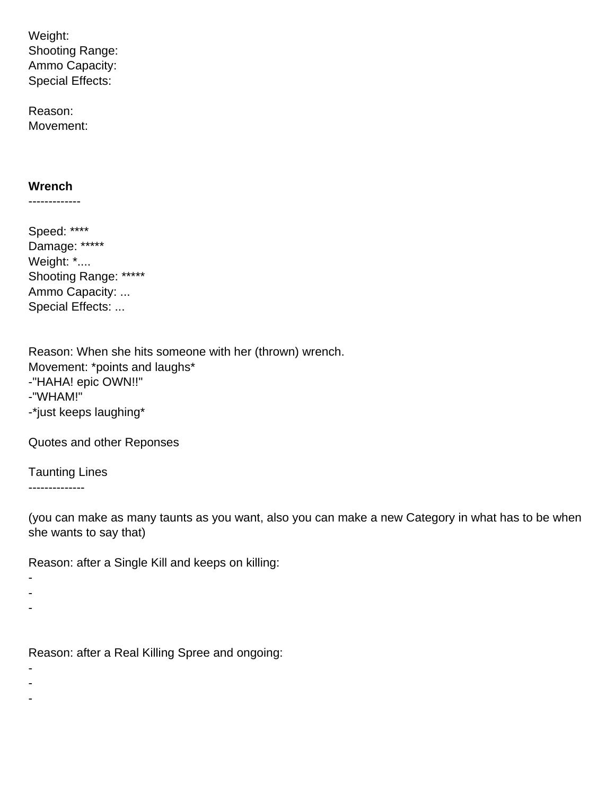Weight: **Shooting Range:** Ammo Capacity: **Special Effects:** 

Reason: Movement:

#### Wrench

-------------

Speed: \*\*\*\* Damage: \*\*\*\*\* Weight: \*.... Shooting Range: \*\*\*\*\* Ammo Capacity: ... Special Effects: ...

Reason: When she hits someone with her (thrown) wrench. Movement: \*points and laughs\* -"HAHA! epic OWN!!" -"WHAM!" -\*just keeps laughing\*

Quotes and other Reponses

**Taunting Lines** --------------

(you can make as many taunts as you want, also you can make a new Category in what has to be when she wants to say that)

Reason: after a Single Kill and keeps on killing:

 $\overline{a}$  $\overline{a}$  $\blacksquare$ 

Reason: after a Real Killing Spree and ongoing:

- $\overline{a}$
- $\overline{a}$
- $\overline{a}$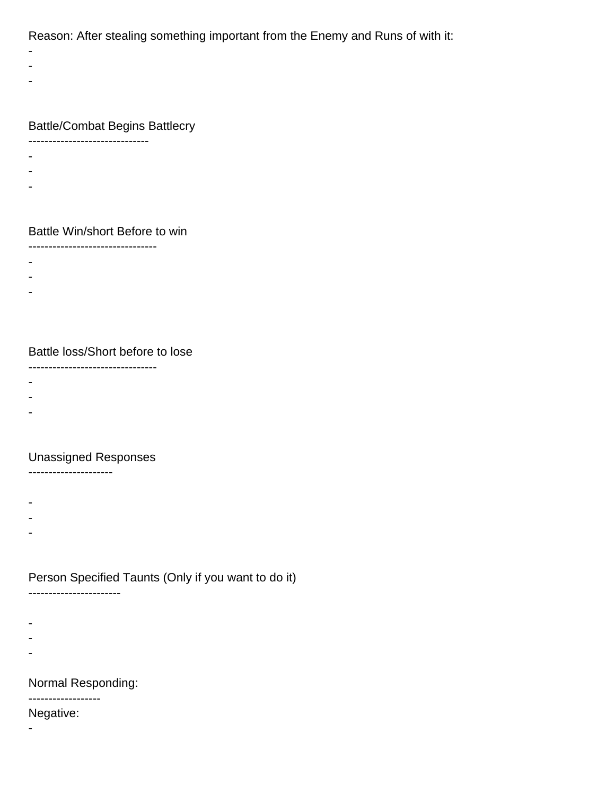Reason: After stealing something important from the Enemy and Runs of with it:

- -
- -
- 
- -

### Battle/Combat Begins Battlecry

- ------------------------------
- -
- -
- -
- 

#### Battle Win/short Before to win

- --------------------------------
- -
- -
- -
- 

### Battle loss/Short before to lose

--------------------------------

- -
- -
- -
- 

### Unassigned Responses

---------------------

- -
- -
- -
- 

## Person Specified Taunts (Only if you want to do it)

-----------------------

- 
- -
- -
- -

## Normal Responding:

# ------------------

Negative:

-